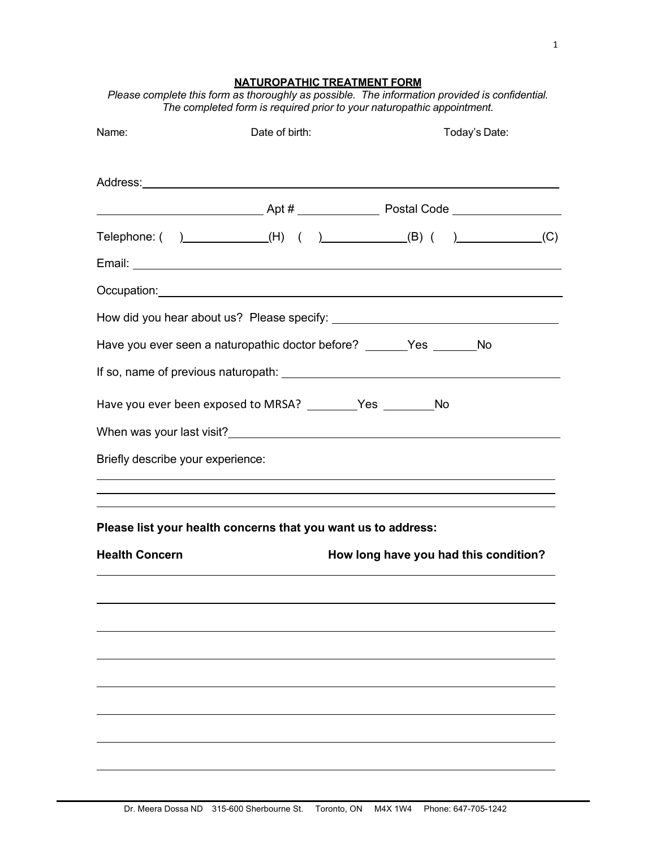1

## **NATUROPATHIC TREATMENT FORM**

| Please complete this form as thoroughly as possible. The information provided is confidential. |  |
|------------------------------------------------------------------------------------------------|--|
| The completed form is required prior to your naturopathic appointment.                         |  |

| Name:                                                              | Date of birth: | Today's Date:                                                           |  |
|--------------------------------------------------------------------|----------------|-------------------------------------------------------------------------|--|
|                                                                    |                |                                                                         |  |
|                                                                    |                |                                                                         |  |
|                                                                    |                | Telephone: $( )$ (H) $( )$ (E) $( )$ (B) $( )$ (C)                      |  |
|                                                                    |                |                                                                         |  |
|                                                                    |                |                                                                         |  |
|                                                                    |                |                                                                         |  |
|                                                                    |                | Have you ever seen a naturopathic doctor before? ________Yes ________No |  |
|                                                                    |                |                                                                         |  |
| Have you ever been exposed to MRSA? ___________Yes _____________No |                |                                                                         |  |
|                                                                    |                |                                                                         |  |
| Briefly describe your experience:                                  |                |                                                                         |  |
|                                                                    |                |                                                                         |  |
| Please list your health concerns that you want us to address:      |                |                                                                         |  |
| <b>Health Concern</b>                                              |                | How long have you had this condition?                                   |  |
|                                                                    |                |                                                                         |  |
|                                                                    |                |                                                                         |  |
|                                                                    |                |                                                                         |  |
|                                                                    |                |                                                                         |  |
|                                                                    |                |                                                                         |  |
|                                                                    |                |                                                                         |  |
|                                                                    |                |                                                                         |  |
|                                                                    |                |                                                                         |  |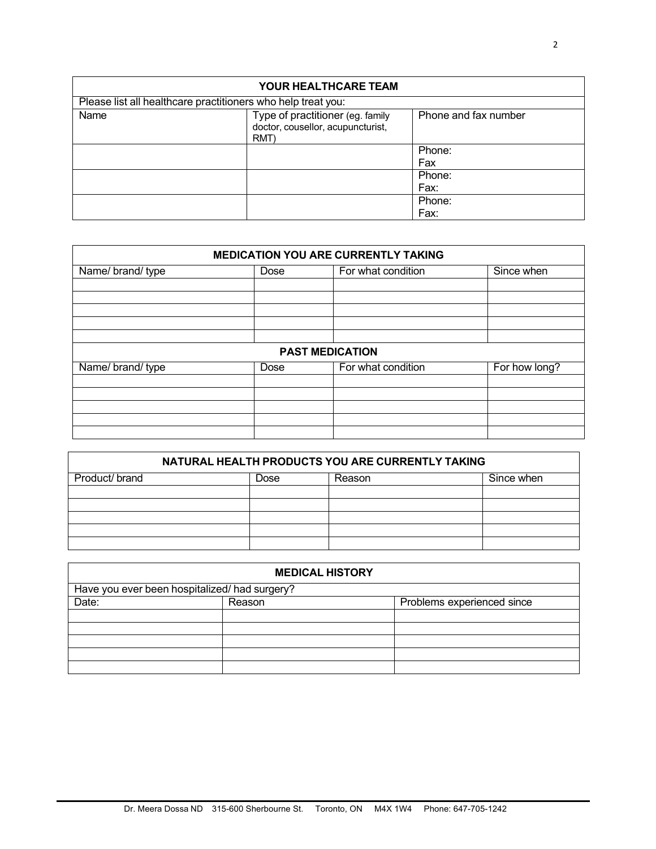| <b>YOUR HEALTHCARE TEAM</b>                                  |                                                                               |                      |  |
|--------------------------------------------------------------|-------------------------------------------------------------------------------|----------------------|--|
| Please list all healthcare practitioners who help treat you: |                                                                               |                      |  |
| Name                                                         | Type of practitioner (eg. family<br>doctor, cousellor, acupuncturist,<br>RMT) | Phone and fax number |  |
|                                                              |                                                                               | Phone:               |  |
|                                                              |                                                                               | Fax                  |  |
|                                                              |                                                                               | Phone:               |  |
|                                                              |                                                                               | Fax:                 |  |
|                                                              |                                                                               | Phone:               |  |
|                                                              |                                                                               | Fax:                 |  |

| <b>MEDICATION YOU ARE CURRENTLY TAKING</b> |                        |                    |               |
|--------------------------------------------|------------------------|--------------------|---------------|
| Name/brand/type                            | <b>Dose</b>            | For what condition | Since when    |
|                                            |                        |                    |               |
|                                            |                        |                    |               |
|                                            |                        |                    |               |
|                                            |                        |                    |               |
|                                            | <b>PAST MEDICATION</b> |                    |               |
| Name/brand/type                            | Dose                   | For what condition | For how long? |
|                                            |                        |                    |               |
|                                            |                        |                    |               |
|                                            |                        |                    |               |
|                                            |                        |                    |               |
|                                            |                        |                    |               |

| NATURAL HEALTH PRODUCTS YOU ARE CURRENTLY TAKING |      |        |            |
|--------------------------------------------------|------|--------|------------|
| Product/ brand                                   | Dose | Reason | Since when |
|                                                  |      |        |            |
|                                                  |      |        |            |
|                                                  |      |        |            |
|                                                  |      |        |            |
|                                                  |      |        |            |

| <b>MEDICAL HISTORY</b>                        |        |                            |
|-----------------------------------------------|--------|----------------------------|
| Have you ever been hospitalized/ had surgery? |        |                            |
| Date:                                         | Reason | Problems experienced since |
|                                               |        |                            |
|                                               |        |                            |
|                                               |        |                            |
|                                               |        |                            |
|                                               |        |                            |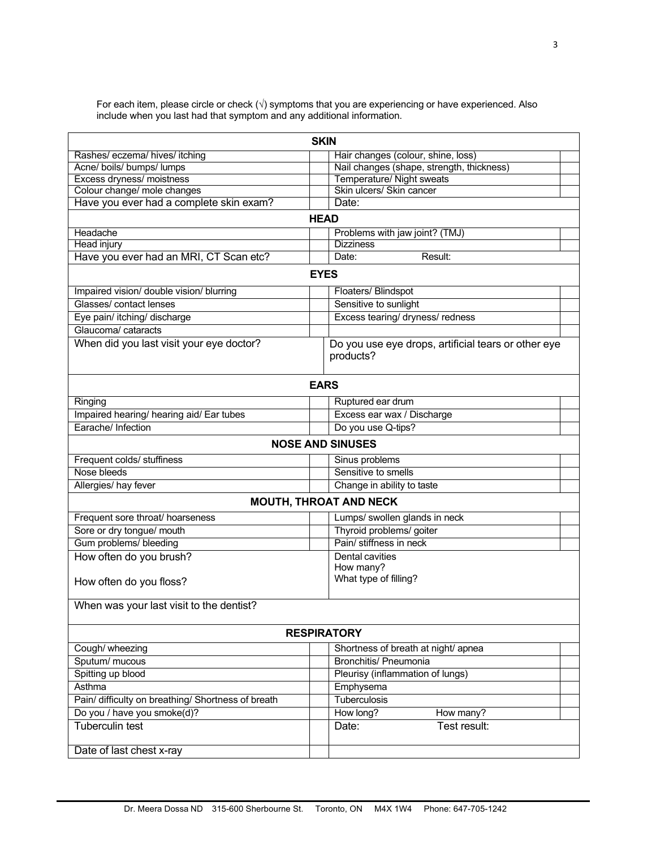For each item, please circle or check (√) symptoms that you are experiencing or have experienced. Also include when you last had that symptom and any additional information.

| <b>SKIN</b>                                        |                                                                  |  |
|----------------------------------------------------|------------------------------------------------------------------|--|
| Rashes/ eczema/ hives/ itching                     | Hair changes (colour, shine, loss)                               |  |
| Acne/ boils/ bumps/ lumps                          | Nail changes (shape, strength, thickness)                        |  |
| Excess dryness/ moistness                          | Temperature/ Night sweats                                        |  |
| Colour change/ mole changes                        | Skin ulcers/ Skin cancer                                         |  |
| Have you ever had a complete skin exam?            | Date:                                                            |  |
|                                                    | <b>HEAD</b>                                                      |  |
| Headache                                           | Problems with jaw joint? (TMJ)                                   |  |
| <b>Head injury</b>                                 | <b>Dizziness</b>                                                 |  |
| Have you ever had an MRI, CT Scan etc?             | Result:<br>Date:                                                 |  |
|                                                    | <b>EYES</b>                                                      |  |
| Impaired vision/ double vision/ blurring           | Floaters/ Blindspot                                              |  |
| Glasses/ contact lenses                            | Sensitive to sunlight                                            |  |
| Eye pain/ itching/ discharge                       | Excess tearing/ dryness/ redness                                 |  |
| Glaucoma/ cataracts                                |                                                                  |  |
| When did you last visit your eye doctor?           | Do you use eye drops, artificial tears or other eye<br>products? |  |
|                                                    | <b>EARS</b>                                                      |  |
| Ringing                                            | Ruptured ear drum                                                |  |
| Impaired hearing/ hearing aid/ Ear tubes           | Excess ear wax / Discharge                                       |  |
| Earache/ Infection                                 | Do you use Q-tips?                                               |  |
|                                                    | <b>NOSE AND SINUSES</b>                                          |  |
| Frequent colds/ stuffiness                         | Sinus problems                                                   |  |
| Nose bleeds                                        | Sensitive to smells                                              |  |
| Allergies/ hay fever                               | Change in ability to taste                                       |  |
|                                                    | <b>MOUTH, THROAT AND NECK</b>                                    |  |
| Frequent sore throat/ hoarseness                   | Lumps/ swollen glands in neck                                    |  |
| Sore or dry tongue/ mouth                          | Thyroid problems/ goiter                                         |  |
| Gum problems/ bleeding                             | Pain/ stiffness in neck                                          |  |
| How often do you brush?                            | Dental cavities                                                  |  |
|                                                    | How many?                                                        |  |
| How often do you floss?                            | What type of filling?                                            |  |
| When was your last visit to the dentist?           |                                                                  |  |
|                                                    | <b>RESPIRATORY</b>                                               |  |
| Cough/ wheezing                                    | Shortness of breath at night/ apnea                              |  |
| Sputum/ mucous                                     | <b>Bronchitis/ Pneumonia</b>                                     |  |
| Spitting up blood                                  | Pleurisy (inflammation of lungs)                                 |  |
| Asthma                                             | Emphysema                                                        |  |
| Pain/ difficulty on breathing/ Shortness of breath | <b>Tuberculosis</b>                                              |  |
| Do you / have you smoke(d)?                        | How long?<br>How many?                                           |  |
| <b>Tuberculin test</b>                             | Test result:<br>Date:                                            |  |
| Date of last chest x-ray                           |                                                                  |  |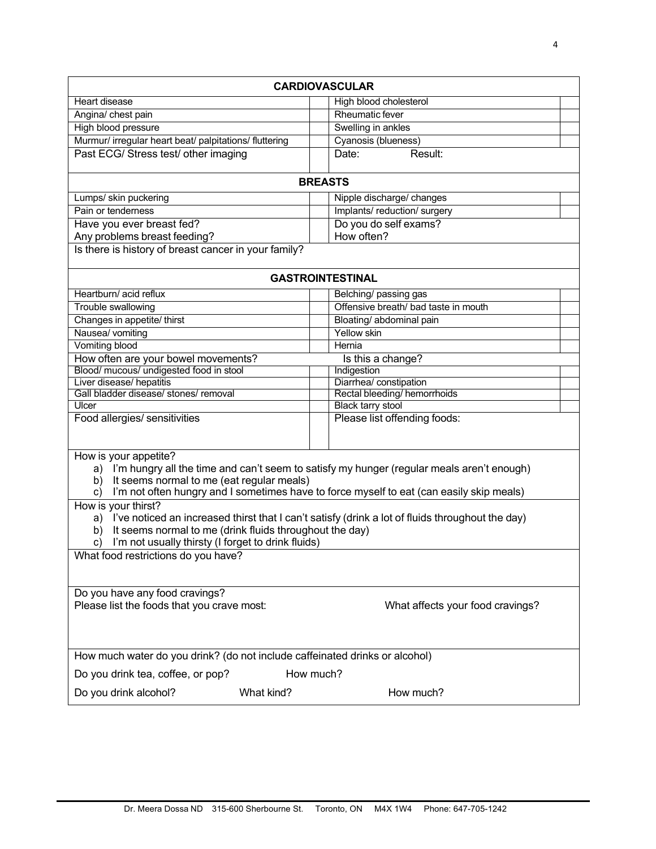| <b>CARDIOVASCULAR</b>                                                                                                                                                                                                                                                      |                                      |  |  |
|----------------------------------------------------------------------------------------------------------------------------------------------------------------------------------------------------------------------------------------------------------------------------|--------------------------------------|--|--|
| Heart disease                                                                                                                                                                                                                                                              | High blood cholesterol               |  |  |
| Angina/ chest pain                                                                                                                                                                                                                                                         | <b>Rheumatic fever</b>               |  |  |
| High blood pressure                                                                                                                                                                                                                                                        | Swelling in ankles                   |  |  |
| Murmur/ irregular heart beat/ palpitations/ fluttering                                                                                                                                                                                                                     | Cyanosis (blueness)                  |  |  |
| Past ECG/ Stress test/ other imaging                                                                                                                                                                                                                                       | Result:<br>Date:                     |  |  |
|                                                                                                                                                                                                                                                                            | <b>BREASTS</b>                       |  |  |
| Lumps/ skin puckering                                                                                                                                                                                                                                                      | Nipple discharge/ changes            |  |  |
| Pain or tenderness                                                                                                                                                                                                                                                         | Implants/reduction/surgery           |  |  |
| Have you ever breast fed?                                                                                                                                                                                                                                                  | Do you do self exams?                |  |  |
| Any problems breast feeding?                                                                                                                                                                                                                                               | How often?                           |  |  |
| Is there is history of breast cancer in your family?                                                                                                                                                                                                                       |                                      |  |  |
|                                                                                                                                                                                                                                                                            | <b>GASTROINTESTINAL</b>              |  |  |
| Heartburn/ acid reflux                                                                                                                                                                                                                                                     | Belching/ passing gas                |  |  |
| Trouble swallowing                                                                                                                                                                                                                                                         | Offensive breath/ bad taste in mouth |  |  |
| Changes in appetite/ thirst                                                                                                                                                                                                                                                | Bloating/ abdominal pain             |  |  |
| Nausea/ vomiting                                                                                                                                                                                                                                                           | Yellow skin                          |  |  |
| Vomiting blood                                                                                                                                                                                                                                                             | Hernia                               |  |  |
| How often are your bowel movements?                                                                                                                                                                                                                                        | Is this a change?                    |  |  |
| Blood/ mucous/ undigested food in stool                                                                                                                                                                                                                                    | Indigestion                          |  |  |
| Liver disease/ hepatitis                                                                                                                                                                                                                                                   | Diarrhea/ constipation               |  |  |
| Gall bladder disease/ stones/ removal                                                                                                                                                                                                                                      | Rectal bleeding/ hemorrhoids         |  |  |
| Ulcer                                                                                                                                                                                                                                                                      | <b>Black tarry stool</b>             |  |  |
| Food allergies/ sensitivities                                                                                                                                                                                                                                              | Please list offending foods:         |  |  |
| How is your appetite?<br>a) I'm hungry all the time and can't seem to satisfy my hunger (regular meals aren't enough)<br>It seems normal to me (eat regular meals)<br>b)<br>I'm not often hungry and I sometimes have to force myself to eat (can easily skip meals)<br>C) |                                      |  |  |
| How is your thirst?<br>a) I've noticed an increased thirst that I can't satisfy (drink a lot of fluids throughout the day)<br>It seems normal to me (drink fluids throughout the day)<br>b)<br>I'm not usually thirsty (I forget to drink fluids)<br>c)                    |                                      |  |  |
| What food restrictions do you have?                                                                                                                                                                                                                                        |                                      |  |  |
| Do you have any food cravings?<br>Please list the foods that you crave most:                                                                                                                                                                                               | What affects your food cravings?     |  |  |
| How much water do you drink? (do not include caffeinated drinks or alcohol)                                                                                                                                                                                                |                                      |  |  |
| Do you drink tea, coffee, or pop?                                                                                                                                                                                                                                          | How much?                            |  |  |
| Do you drink alcohol?<br>What kind?                                                                                                                                                                                                                                        | How much?                            |  |  |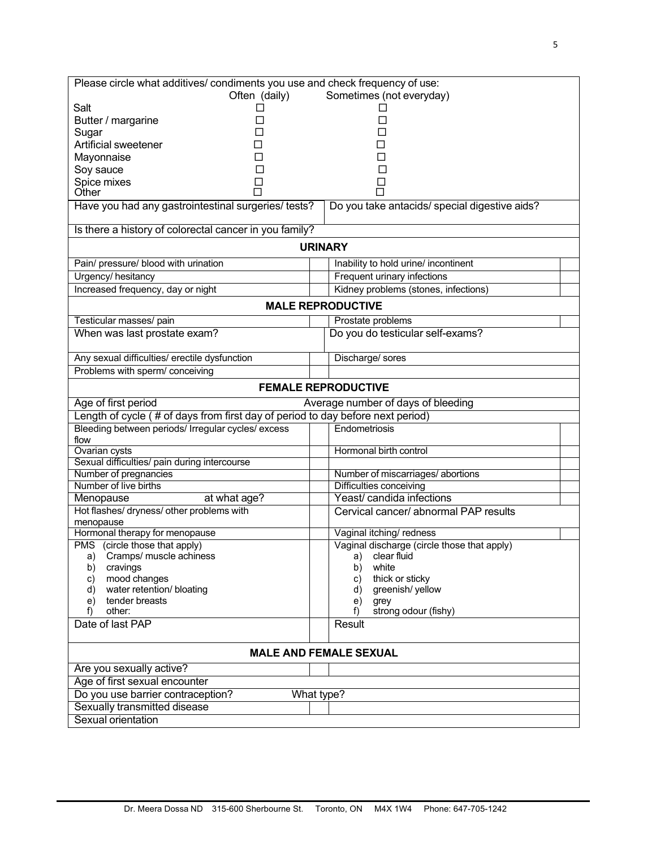| Please circle what additives/ condiments you use and check frequency of use:   |                                                      |  |
|--------------------------------------------------------------------------------|------------------------------------------------------|--|
| Often (daily)                                                                  | Sometimes (not everyday)                             |  |
| Salt<br>□                                                                      |                                                      |  |
| Butter / margarine                                                             |                                                      |  |
| Sugar                                                                          |                                                      |  |
| Artificial sweetener                                                           |                                                      |  |
| Mayonnaise                                                                     |                                                      |  |
| Soy sauce                                                                      |                                                      |  |
| Spice mixes                                                                    | $\Box$                                               |  |
| Other                                                                          |                                                      |  |
| Have you had any gastrointestinal surgeries/ tests?                            | Do you take antacids/ special digestive aids?        |  |
| Is there a history of colorectal cancer in you family?                         |                                                      |  |
|                                                                                | <b>URINARY</b>                                       |  |
| Pain/ pressure/ blood with urination                                           | Inability to hold urine/ incontinent                 |  |
| Urgency/hesitancy                                                              | Frequent urinary infections                          |  |
| Increased frequency, day or night                                              | Kidney problems (stones, infections)                 |  |
|                                                                                | <b>MALE REPRODUCTIVE</b>                             |  |
| Testicular masses/ pain                                                        | Prostate problems                                    |  |
| When was last prostate exam?                                                   | Do you do testicular self-exams?                     |  |
|                                                                                |                                                      |  |
| Any sexual difficulties/ erectile dysfunction                                  | Discharge/ sores                                     |  |
| Problems with sperm/ conceiving                                                |                                                      |  |
|                                                                                | <b>FEMALE REPRODUCTIVE</b>                           |  |
| Age of first period                                                            | Average number of days of bleeding                   |  |
| Length of cycle (# of days from first day of period to day before next period) |                                                      |  |
| Bleeding between periods/ Irregular cycles/ excess                             | Endometriosis                                        |  |
| flow                                                                           |                                                      |  |
| Ovarian cysts                                                                  | Hormonal birth control                               |  |
| Sexual difficulties/ pain during intercourse                                   |                                                      |  |
| Number of pregnancies                                                          | Number of miscarriages/ abortions                    |  |
| Number of live births                                                          | Difficulties conceiving<br>Yeast/ candida infections |  |
| Menopause<br>at what age?                                                      |                                                      |  |
| Hot flashes/ dryness/ other problems with                                      | Cervical cancer/ abnormal PAP results                |  |
| menopause<br>Hormonal therapy for menopause                                    | Vaginal itching/ redness                             |  |
| PMS (circle those that apply)                                                  | Vaginal discharge (circle those that apply)          |  |
| Cramps/ muscle achiness<br>a)                                                  | clear fluid<br>a)                                    |  |
| cravings<br>b)                                                                 | white<br>b)                                          |  |
| mood changes<br>c)                                                             | thick or sticky<br>C)                                |  |
| water retention/ bloating<br>d)                                                | greenish/yellow<br>d)                                |  |
| tender breasts<br>e)                                                           | e)<br>grey                                           |  |
| other:<br>f)                                                                   | strong odour (fishy)<br>f)                           |  |
| Date of last PAP                                                               | Result                                               |  |
| <b>MALE AND FEMALE SEXUAL</b>                                                  |                                                      |  |
| Are you sexually active?                                                       |                                                      |  |
| Age of first sexual encounter                                                  |                                                      |  |
| Do you use barrier contraception?                                              | What type?                                           |  |
| Sexually transmitted disease                                                   |                                                      |  |
| Sexual orientation                                                             |                                                      |  |
|                                                                                |                                                      |  |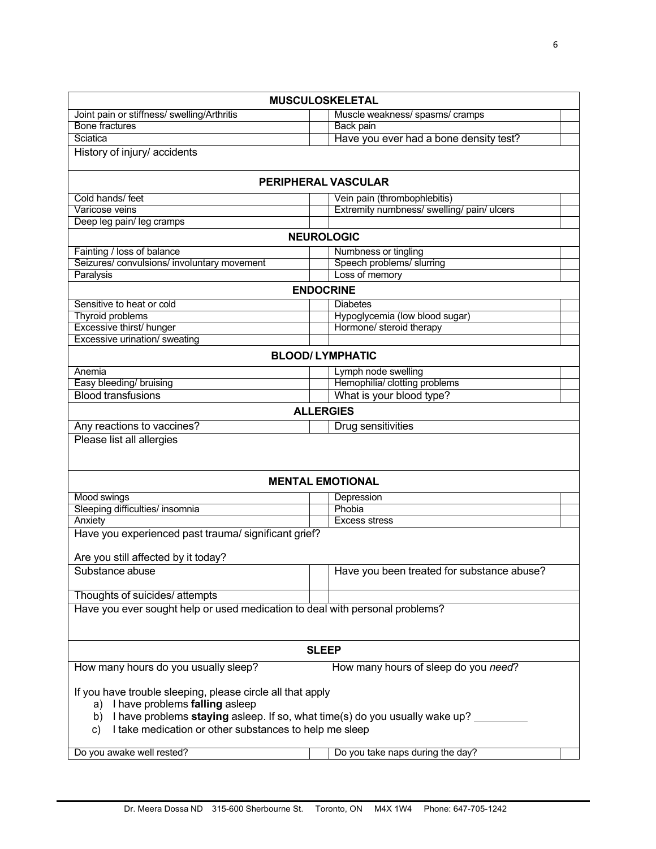|                                                                              | <b>MUSCULOSKELETAL</b>                                                         |
|------------------------------------------------------------------------------|--------------------------------------------------------------------------------|
| Joint pain or stiffness/ swelling/Arthritis                                  | Muscle weakness/ spasms/ cramps                                                |
| <b>Bone fractures</b>                                                        | Back pain                                                                      |
| Sciatica                                                                     | Have you ever had a bone density test?                                         |
| History of injury/ accidents                                                 |                                                                                |
|                                                                              | <b>PERIPHERAL VASCULAR</b>                                                     |
| Cold hands/ feet                                                             | Vein pain (thrombophlebitis)                                                   |
| Varicose veins                                                               | Extremity numbness/ swelling/ pain/ ulcers                                     |
| Deep leg pain/ leg cramps                                                    |                                                                                |
|                                                                              | <b>NEUROLOGIC</b>                                                              |
| Fainting / loss of balance                                                   | Numbness or tingling                                                           |
| Seizures/convulsions/involuntary movement                                    | Speech problems/ slurring                                                      |
| Paralysis                                                                    | Loss of memory                                                                 |
|                                                                              | <b>ENDOCRINE</b>                                                               |
| Sensitive to heat or cold                                                    | <b>Diabetes</b>                                                                |
| <b>Thyroid problems</b>                                                      | Hypoglycemia (low blood sugar)                                                 |
| Excessive thirst/ hunger                                                     | Hormone/ steroid therapy                                                       |
| Excessive urination/ sweating                                                |                                                                                |
|                                                                              | <b>BLOOD/ LYMPHATIC</b>                                                        |
| Anemia                                                                       | Lymph node swelling                                                            |
| Easy bleeding/ bruising                                                      | Hemophilia/ clotting problems                                                  |
| <b>Blood transfusions</b>                                                    | What is your blood type?                                                       |
|                                                                              | <b>ALLERGIES</b>                                                               |
| Any reactions to vaccines?                                                   | Drug sensitivities                                                             |
| Please list all allergies                                                    |                                                                                |
|                                                                              |                                                                                |
|                                                                              |                                                                                |
|                                                                              | <b>MENTAL EMOTIONAL</b>                                                        |
| Mood swings                                                                  | Depression                                                                     |
| Sleeping difficulties/ insomnia                                              | Phobia                                                                         |
| Anxiety                                                                      | <b>Excess stress</b>                                                           |
| Have you experienced past trauma/ significant grief?                         |                                                                                |
|                                                                              |                                                                                |
| Are you still affected by it today?                                          |                                                                                |
| Substance abuse                                                              | Have you been treated for substance abuse?                                     |
| Thoughts of suicides/ attempts                                               |                                                                                |
| Have you ever sought help or used medication to deal with personal problems? |                                                                                |
|                                                                              |                                                                                |
|                                                                              |                                                                                |
|                                                                              | <b>SLEEP</b>                                                                   |
| How many hours do you usually sleep?                                         | How many hours of sleep do you need?                                           |
|                                                                              |                                                                                |
| If you have trouble sleeping, please circle all that apply                   |                                                                                |
| a) I have problems falling asleep                                            |                                                                                |
| I take medication or other substances to help me sleep<br>C)                 | b) I have problems staying asleep. If so, what time(s) do you usually wake up? |
|                                                                              |                                                                                |
| Do you awake well rested?                                                    | Do you take naps during the day?                                               |
|                                                                              |                                                                                |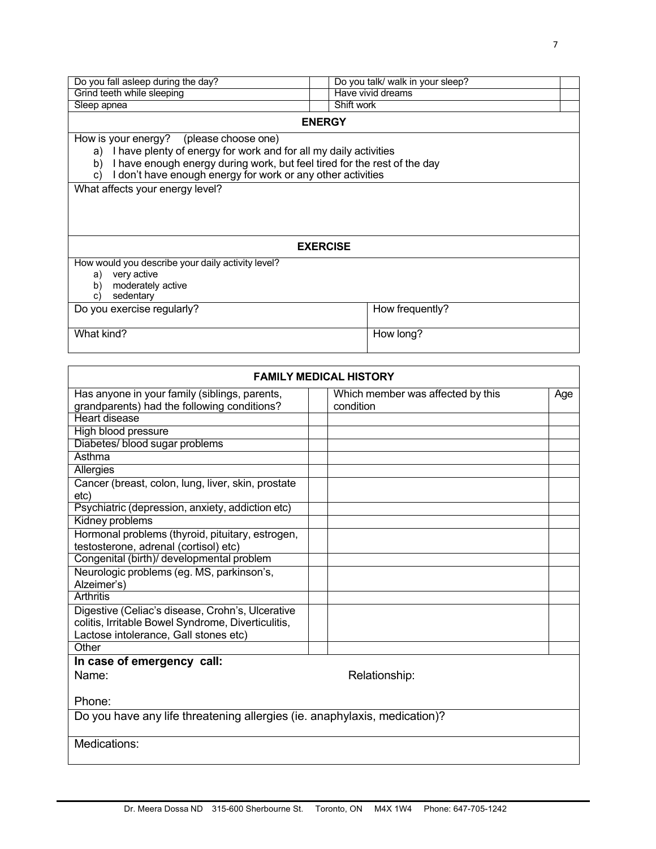| Do you fall asleep during the day?                                                                                                                                                                                                                                                                       | Do you talk/ walk in your sleep? |  |
|----------------------------------------------------------------------------------------------------------------------------------------------------------------------------------------------------------------------------------------------------------------------------------------------------------|----------------------------------|--|
| Grind teeth while sleeping                                                                                                                                                                                                                                                                               | Have vivid dreams                |  |
| Sleep apnea                                                                                                                                                                                                                                                                                              | Shift work                       |  |
|                                                                                                                                                                                                                                                                                                          | <b>ENERGY</b>                    |  |
| How is your energy? (please choose one)<br>a) I have plenty of energy for work and for all my daily activities<br>I have enough energy during work, but feel tired for the rest of the day<br>b)<br>I don't have enough energy for work or any other activities<br>C)<br>What affects your energy level? |                                  |  |
|                                                                                                                                                                                                                                                                                                          | <b>EXERCISE</b>                  |  |
| How would you describe your daily activity level?<br>very active<br>a)<br>moderately active<br>b)<br>sedentary<br>C)                                                                                                                                                                                     |                                  |  |
| Do you exercise regularly?                                                                                                                                                                                                                                                                               | How frequently?                  |  |
| What kind?                                                                                                                                                                                                                                                                                               | How long?                        |  |

| <b>FAMILY MEDICAL HISTORY</b>                                                             |                                   |     |  |
|-------------------------------------------------------------------------------------------|-----------------------------------|-----|--|
| Has anyone in your family (siblings, parents,                                             | Which member was affected by this | Age |  |
| grandparents) had the following conditions?                                               | condition                         |     |  |
| Heart disease                                                                             |                                   |     |  |
| High blood pressure                                                                       |                                   |     |  |
| Diabetes/ blood sugar problems                                                            |                                   |     |  |
| Asthma                                                                                    |                                   |     |  |
| Allergies                                                                                 |                                   |     |  |
| Cancer (breast, colon, lung, liver, skin, prostate                                        |                                   |     |  |
| etc)                                                                                      |                                   |     |  |
| Psychiatric (depression, anxiety, addiction etc)                                          |                                   |     |  |
| Kidney problems                                                                           |                                   |     |  |
| Hormonal problems (thyroid, pituitary, estrogen,<br>testosterone, adrenal (cortisol) etc) |                                   |     |  |
| Congenital (birth)/ developmental problem                                                 |                                   |     |  |
| Neurologic problems (eg. MS, parkinson's,                                                 |                                   |     |  |
| Alzeimer's)                                                                               |                                   |     |  |
| Arthritis                                                                                 |                                   |     |  |
| Digestive (Celiac's disease, Crohn's, Ulcerative                                          |                                   |     |  |
| colitis, Irritable Bowel Syndrome, Diverticulitis,                                        |                                   |     |  |
| Lactose intolerance, Gall stones etc)<br>Other                                            |                                   |     |  |
|                                                                                           |                                   |     |  |
| In case of emergency call:                                                                |                                   |     |  |
| Name:                                                                                     | Relationship:                     |     |  |
| Phone:                                                                                    |                                   |     |  |
| Do you have any life threatening allergies (ie. anaphylaxis, medication)?                 |                                   |     |  |
| Medications:                                                                              |                                   |     |  |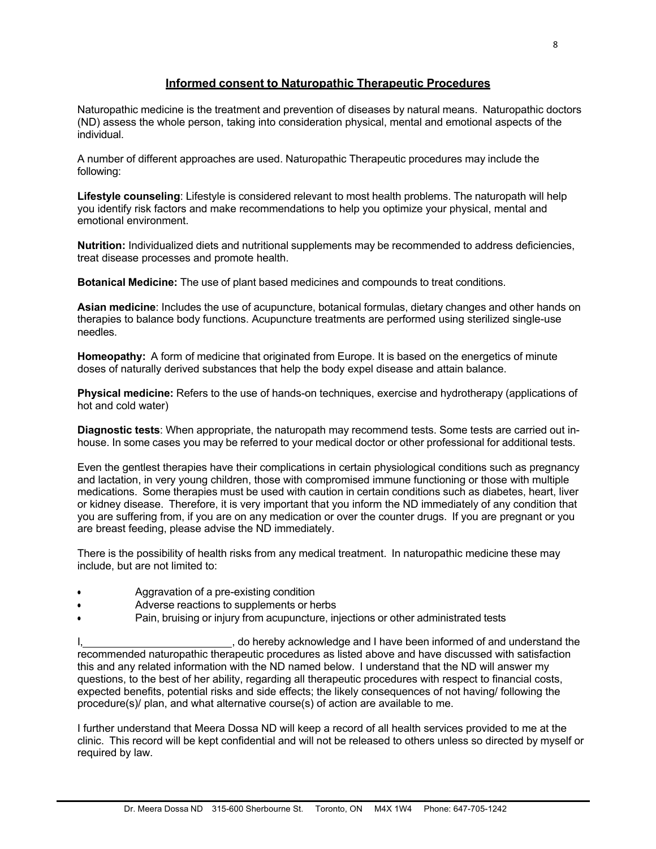## **Informed consent to Naturopathic Therapeutic Procedures**

Naturopathic medicine is the treatment and prevention of diseases by natural means. Naturopathic doctors (ND) assess the whole person, taking into consideration physical, mental and emotional aspects of the individual.

A number of different approaches are used. Naturopathic Therapeutic procedures may include the following:

**Lifestyle counseling**: Lifestyle is considered relevant to most health problems. The naturopath will help you identify risk factors and make recommendations to help you optimize your physical, mental and emotional environment.

**Nutrition:** Individualized diets and nutritional supplements may be recommended to address deficiencies, treat disease processes and promote health.

**Botanical Medicine:** The use of plant based medicines and compounds to treat conditions.

**Asian medicine**: Includes the use of acupuncture, botanical formulas, dietary changes and other hands on therapies to balance body functions. Acupuncture treatments are performed using sterilized single-use needles.

**Homeopathy:** A form of medicine that originated from Europe. It is based on the energetics of minute doses of naturally derived substances that help the body expel disease and attain balance.

**Physical medicine:** Refers to the use of hands-on techniques, exercise and hydrotherapy (applications of hot and cold water)

**Diagnostic tests**: When appropriate, the naturopath may recommend tests. Some tests are carried out inhouse. In some cases you may be referred to your medical doctor or other professional for additional tests.

Even the gentlest therapies have their complications in certain physiological conditions such as pregnancy and lactation, in very young children, those with compromised immune functioning or those with multiple medications. Some therapies must be used with caution in certain conditions such as diabetes, heart, liver or kidney disease. Therefore, it is very important that you inform the ND immediately of any condition that you are suffering from, if you are on any medication or over the counter drugs. If you are pregnant or you are breast feeding, please advise the ND immediately.

There is the possibility of health risks from any medical treatment. In naturopathic medicine these may include, but are not limited to:

- Aggravation of a pre-existing condition
- Adverse reactions to supplements or herbs
- Pain, bruising or injury from acupuncture, injections or other administrated tests

, do hereby acknowledge and I have been informed of and understand the recommended naturopathic therapeutic procedures as listed above and have discussed with satisfaction this and any related information with the ND named below. I understand that the ND will answer my questions, to the best of her ability, regarding all therapeutic procedures with respect to financial costs. expected benefits, potential risks and side effects; the likely consequences of not having/ following the procedure(s)/ plan, and what alternative course(s) of action are available to me.

I further understand that Meera Dossa ND will keep a record of all health services provided to me at the clinic. This record will be kept confidential and will not be released to others unless so directed by myself or required by law.